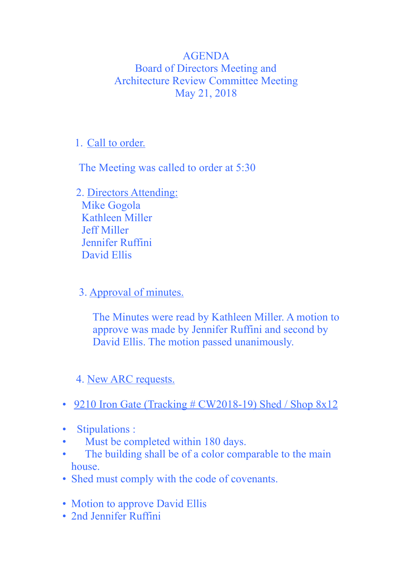## AGENDA Board of Directors Meeting and Architecture Review Committee Meeting May 21, 2018

## 1. Call to order.

The Meeting was called to order at 5:30

 2. Directors Attending: Mike Gogola Kathleen Miller Jeff Miller Jennifer Ruffini David Ellis

3. Approval of minutes.

 The Minutes were read by Kathleen Miller. A motion to approve was made by Jennifer Ruffini and second by David Ellis. The motion passed unanimously.

## 4. New ARC requests.

- 9210 Iron Gate (Tracking  $\#$  CW2018-19) Shed / Shop 8x12
- Stipulations :
- Must be completed within 180 days.
- The building shall be of a color comparable to the main house.
- Shed must comply with the code of covenants.
- Motion to approve David Ellis
- 2nd Jennifer Ruffini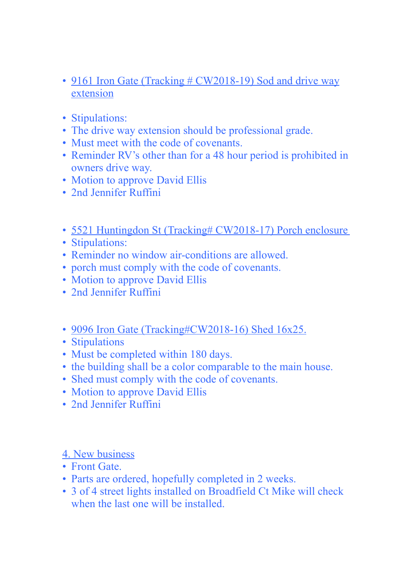- 9161 Iron Gate (Tracking # CW2018-19) Sod and drive way extension
- Stipulations:
- The drive way extension should be professional grade.
- Must meet with the code of covenants.
- Reminder RV's other than for a 48 hour period is prohibited in owners drive way.
- Motion to approve David Ellis
- 2nd Jennifer Ruffini
- 5521 Huntingdon St (Tracking# CW2018-17) Porch enclosure
- Stipulations:
- Reminder no window air-conditions are allowed.
- porch must comply with the code of covenants.
- Motion to approve David Ellis
- 2nd Jennifer Ruffini
- 9096 Iron Gate (Tracking#CW2018-16) Shed 16x25.
- Stipulations
- Must be completed within 180 days.
- the building shall be a color comparable to the main house.
- Shed must comply with the code of covenants.
- Motion to approve David Ellis
- 2nd Jennifer Ruffini

## 4. New business

- Front Gate
- Parts are ordered, hopefully completed in 2 weeks.
- 3 of 4 street lights installed on Broadfield Ct Mike will check when the last one will be installed.